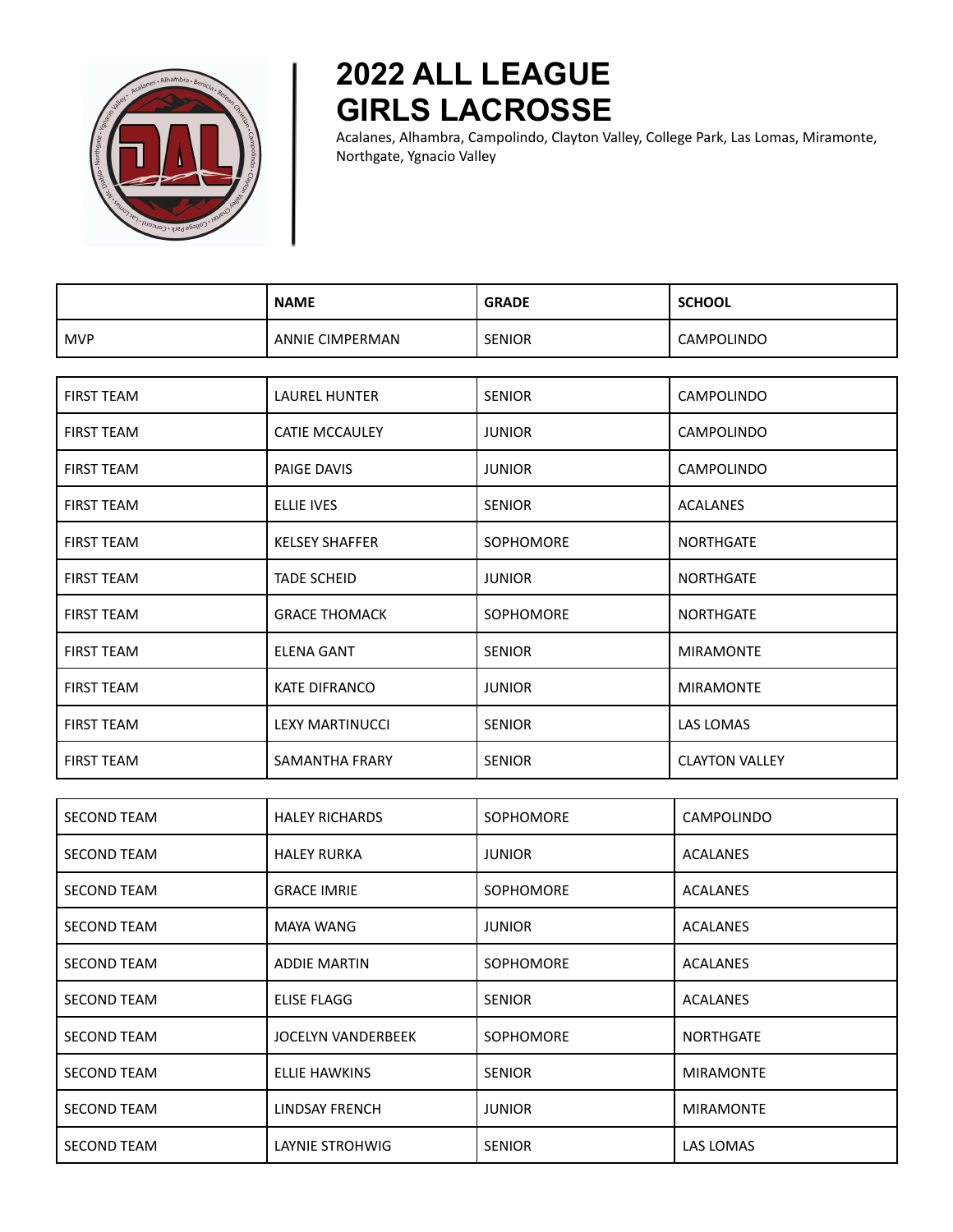

## **2022 ALL LEAGUE GIRLS LACROSSE**

Acalanes, Alhambra, Campolindo, Clayton Valley, College Park, Las Lomas, Miramonte, Northgate, Ygnacio Valley

|                    | <b>NAME</b>               | <b>GRADE</b>     | <b>SCHOOL</b>         |
|--------------------|---------------------------|------------------|-----------------------|
| <b>MVP</b>         | <b>ANNIE CIMPERMAN</b>    | <b>SENIOR</b>    | CAMPOLINDO            |
|                    |                           |                  |                       |
| <b>FIRST TEAM</b>  | <b>LAUREL HUNTER</b>      | <b>SENIOR</b>    | <b>CAMPOLINDO</b>     |
| <b>FIRST TEAM</b>  | <b>CATIE MCCAULEY</b>     | <b>JUNIOR</b>    | <b>CAMPOLINDO</b>     |
| <b>FIRST TEAM</b>  | PAIGE DAVIS               | <b>JUNIOR</b>    | CAMPOLINDO            |
| <b>FIRST TEAM</b>  | <b>ELLIE IVES</b>         | <b>SENIOR</b>    | <b>ACALANES</b>       |
| <b>FIRST TEAM</b>  | <b>KELSEY SHAFFER</b>     | <b>SOPHOMORE</b> | <b>NORTHGATE</b>      |
| <b>FIRST TEAM</b>  | <b>TADE SCHEID</b>        | <b>JUNIOR</b>    | <b>NORTHGATE</b>      |
| <b>FIRST TEAM</b>  | <b>GRACE THOMACK</b>      | <b>SOPHOMORE</b> | <b>NORTHGATE</b>      |
| <b>FIRST TEAM</b>  | <b>ELENA GANT</b>         | <b>SENIOR</b>    | <b>MIRAMONTE</b>      |
| <b>FIRST TEAM</b>  | <b>KATE DIFRANCO</b>      | <b>JUNIOR</b>    | <b>MIRAMONTE</b>      |
| <b>FIRST TEAM</b>  | <b>LEXY MARTINUCCI</b>    | <b>SENIOR</b>    | LAS LOMAS             |
| <b>FIRST TEAM</b>  | SAMANTHA FRARY            | <b>SENIOR</b>    | <b>CLAYTON VALLEY</b> |
|                    |                           |                  |                       |
| <b>SECOND TEAM</b> | <b>HALEY RICHARDS</b>     | <b>SOPHOMORE</b> | CAMPOLINDO            |
| <b>SECOND TEAM</b> | <b>HALEY RURKA</b>        | <b>JUNIOR</b>    | <b>ACALANES</b>       |
| <b>SECOND TEAM</b> | <b>GRACE IMRIE</b>        | <b>SOPHOMORE</b> | ACALANES              |
| <b>SECOND TEAM</b> | <b>MAYA WANG</b>          | <b>JUNIOR</b>    | <b>ACALANES</b>       |
| <b>SECOND TEAM</b> | <b>ADDIE MARTIN</b>       | <b>SOPHOMORE</b> | <b>ACALANES</b>       |
| <b>SECOND TEAM</b> | <b>ELISE FLAGG</b>        | <b>SENIOR</b>    | <b>ACALANES</b>       |
| <b>SECOND TEAM</b> | <b>JOCELYN VANDERBEEK</b> | SOPHOMORE        | <b>NORTHGATE</b>      |
| <b>SECOND TEAM</b> | <b>ELLIE HAWKINS</b>      | <b>SENIOR</b>    | <b>MIRAMONTE</b>      |
| <b>SECOND TEAM</b> | <b>LINDSAY FRENCH</b>     | <b>JUNIOR</b>    | <b>MIRAMONTE</b>      |
| SECOND TEAM        | LAYNIE STROHWIG           | SENIOR           | LAS LOMAS             |